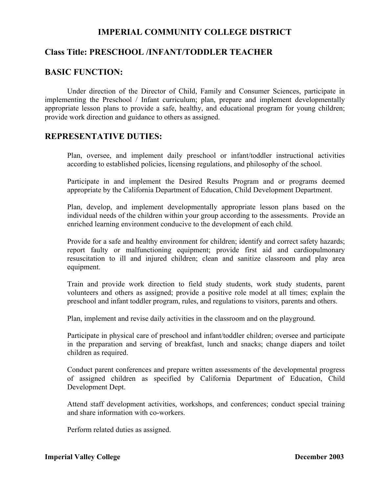# **IMPERIAL COMMUNITY COLLEGE DISTRICT**

## **Class Title: PRESCHOOL /INFANT/TODDLER TEACHER**

### **BASIC FUNCTION:**

 Under direction of the Director of Child, Family and Consumer Sciences, participate in implementing the Preschool / Infant curriculum; plan, prepare and implement developmentally appropriate lesson plans to provide a safe, healthy, and educational program for young children; provide work direction and guidance to others as assigned.

### **REPRESENTATIVE DUTIES:**

Plan, oversee, and implement daily preschool or infant/toddler instructional activities according to established policies, licensing regulations, and philosophy of the school.

Participate in and implement the Desired Results Program and or programs deemed appropriate by the California Department of Education, Child Development Department.

Plan, develop, and implement developmentally appropriate lesson plans based on the individual needs of the children within your group according to the assessments. Provide an enriched learning environment conducive to the development of each child.

Provide for a safe and healthy environment for children; identify and correct safety hazards; report faulty or malfunctioning equipment; provide first aid and cardiopulmonary resuscitation to ill and injured children; clean and sanitize classroom and play area equipment.

Train and provide work direction to field study students, work study students, parent volunteers and others as assigned; provide a positive role model at all times; explain the preschool and infant toddler program, rules, and regulations to visitors, parents and others.

Plan, implement and revise daily activities in the classroom and on the playground.

Participate in physical care of preschool and infant/toddler children; oversee and participate in the preparation and serving of breakfast, lunch and snacks; change diapers and toilet children as required.

Conduct parent conferences and prepare written assessments of the developmental progress of assigned children as specified by California Department of Education, Child Development Dept.

Attend staff development activities, workshops, and conferences; conduct special training and share information with co-workers.

Perform related duties as assigned.